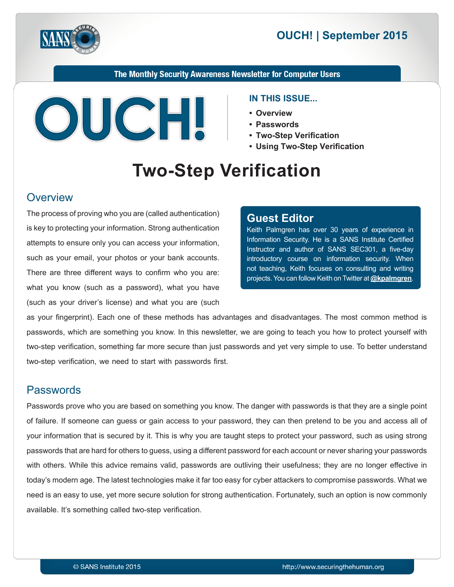



The Monthly Security Awareness Newsletter for Computer Users



#### **IN THIS ISSUE...**

- **Overview•**
- **Passwords•**
- **Two-Step Verification**
- **Using Two-Step Verification**

# **Two-Step Verification**

#### **Overview**

The process of proving who you are (called authentication) is key to protecting your information. Strong authentication attempts to ensure only you can access your information, such as your email, your photos or your bank accounts. There are three different ways to confirm who you are: what you know (such as a password), what you have (such as your driver's license) and what you are (such)

#### **Editor Guest**

Keith Palmgren has over 30 years of experience in Information Security. He is a SANS Institute Certified Instructor and author of SANS SEC301, a five-day introductory course on information security. When not teaching, Keith focuses on consulting and writing projects. You can follow Keith on Twitter at **@[kpalmgren](https://twitter.com/kpalmgren)**.

as your fingerprint). Each one of these methods has advantages and disadvantages. The most common method is passwords, which are something you know. In this newsletter, we are going to teach you how to protect yourself with two-step verification, something far more secure than just passwords and yet very simple to use. To better understand two-step verification, we need to start with passwords first.

#### **Passwords**

Passwords prove who you are based on something you know. The danger with passwords is that they are a single point of failure. If someone can guess or gain access to your password, they can then pretend to be you and access all of your information that is secured by it. This is why you are taught steps to protect your password, such as using strong passwords that are hard for others to guess, using a different password for each account or never sharing your passwords with others. While this advice remains valid, passwords are outliving their usefulness; they are no longer effective in today's modern age. The latest technologies make it far too easy for cyber attackers to compromise passwords. What we need is an easy to use, yet more secure solution for strong authentication. Fortunately, such an option is now commonly available. It's something called two-step verification.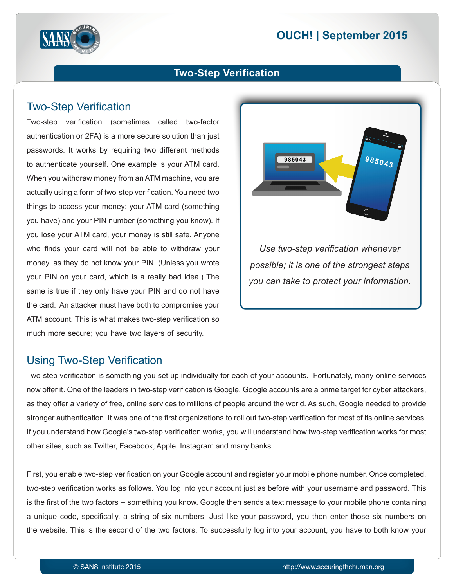# **2015** OUCH! | September 2015



## **Two-Step Verification**

## **Two-Step Verification**

Two-step verification (sometimes called two-factor authentication or 2FA) is a more secure solution than just passwords. It works by requiring two different methods to authenticate yourself. One example is your ATM card. When you withdraw money from an ATM machine, you are actually using a form of two-step verification. You need two things to access your money: your ATM card (something you have) and your PIN number (something you know). If you lose your ATM card, your money is still safe. Anyone who finds your card will not be able to withdraw your money, as they do not know your PIN. (Unless you wrote your PIN on your card, which is a really bad idea.) The same is true if they only have your PIN and do not have the card. An attacker must have both to compromise your ATM account. This is what makes two-step verification so. much more secure; you have two layers of security.



## Using Two-Step Verification

Two-step verification is something you set up individually for each of your accounts. Fortunately, many online services now offer it. One of the leaders in two-step verification is Google. Google accounts are a prime target for cyber attackers, as they offer a variety of free, online services to millions of people around the world. As such, Google needed to provide stronger authentication. It was one of the first organizations to roll out two-step verification for most of its online services. If you understand how Google's two-step verification works, you will understand how two-step verification works for most other sites, such as Twitter, Facebook, Apple, Instagram and many banks.

First, you enable two-step verification on your Google account and register your mobile phone number. Once completed, two-step verification works as follows. You log into your account just as before with your username and password. This is the first of the two factors -- something you know. Google then sends a text message to your mobile phone containing a unique code, specifically, a string of six numbers. Just like your password, you then enter those six numbers on the website. This is the second of the two factors. To successfully log into your account, you have to both know your